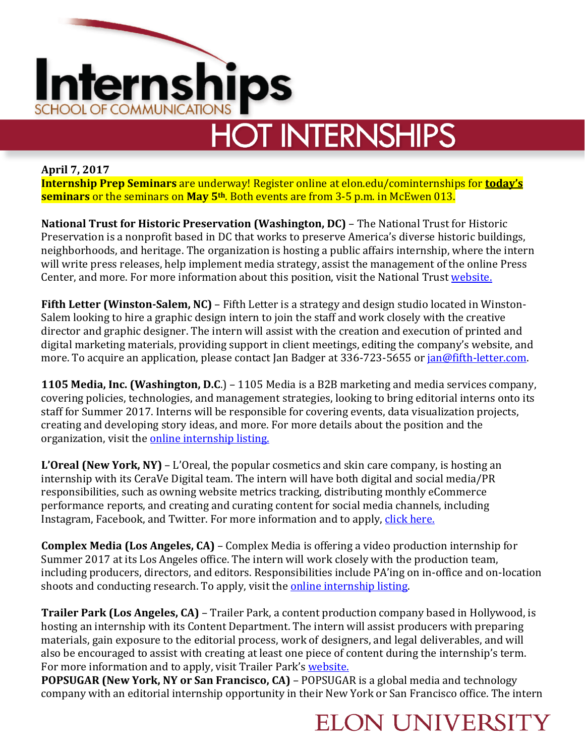

# **HOT INTERNSHIPS**

**April 7, 2017 Internship Prep Seminars** are underway! Register online at elon.edu/cominternships for **today's seminars** or the seminars on **May 5th**. Both events are from 3-5 p.m. in McEwen 013.

**National Trust for Historic Preservation (Washington, DC)** – The National Trust for Historic Preservation is a nonprofit based in DC that works to preserve America's diverse historic buildings, neighborhoods, and heritage. The organization is hosting a public affairs internship, where the intern will write press releases, help implement media strategy, assist the management of the online Press Center, and more. For more information about this position, visit the National Trust [website.](http://jobs.prsa.org/c/job.cfm?site_id=2170&job=33904183&utm_source=weekly-alert&utm_medium=email&utm_term=new-job&utm_campaign=jobseeker-job-alerts)

**Fifth Letter (Winston-Salem, NC)** – Fifth Letter is a strategy and design studio located in Winston-Salem looking to hire a graphic design intern to join the staff and work closely with the creative director and graphic designer. The intern will assist with the creation and execution of printed and digital marketing materials, providing support in client meetings, editing the company's website, and more. To acquire an application, please contact Jan Badger at 336-723-5655 or [jan@fifth-letter.com.](mailto:jan@fifth-letter.com)

**1105 Media, Inc. (Washington, D.C**.) – 1105 Media is a B2B marketing and media services company, covering policies, technologies, and management strategies, looking to bring editorial interns onto its staff for Summer 2017. Interns will be responsible for covering events, data visualization projects, creating and developing story ideas, and more. For more details about the position and the organization, visit the [online internship listing.](http://careers.1105media.com/index.php?m=portal&a=details&jobOrderID=9151850&portalID=4260)

**L'Oreal (New York, NY)** – L'Oreal, the popular cosmetics and skin care company, is hosting an internship with its CeraVe Digital team. The intern will have both digital and social media/PR responsibilities, such as owning website metrics tracking, distributing monthly eCommerce performance reports, and creating and curating content for social media channels, including Instagram, Facebook, and Twitter. For more information and to apply, [click here.](https://career.loreal.com/careers/JobDetail/Intern-Digital/34662?source=Indeed)

**Complex Media (Los Angeles, CA)** – Complex Media is offering a video production internship for Summer 2017 at its Los Angeles office. The intern will work closely with the production team, including producers, directors, and editors. Responsibilities include PA'ing on in-office and on-location shoots and conducting research. To apply, visit the [online internship listing.](http://jobs.complex.com/apply/job_20170406231032_ZQEZSRQTB3G3EC1V/Video-Production-Intern?source=INDE)

**Trailer Park (Los Angeles, CA)** – Trailer Park, a content production company based in Hollywood, is hosting an internship with its Content Department. The intern will assist producers with preparing materials, gain exposure to the editorial process, work of designers, and legal deliverables, and will also be encouraged to assist with creating at least one piece of content during the internship's term. For more information and to apply, visit Trailer Park's [website.](https://careers-trailerpark.icims.com/jobs/1958/internship---content-production-%28summer%29/job?source=Indeed.com&mobile=false&width=734&height=500&bga=true&needsRedirect=false&jan1offset=-300&jun1offset=-240)

**POPSUGAR (New York, NY or San Francisco, CA)** – POPSUGAR is a global media and technology company with an editorial internship opportunity in their New York or San Francisco office. The intern

### **ELON UNIVERSITY**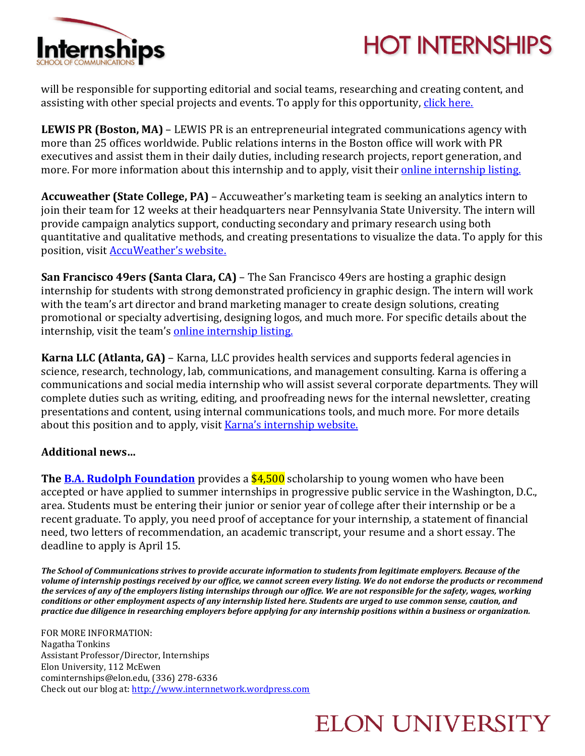

## **HOT INTERNSHIPS**

will be responsible for supporting editorial and social teams, researching and creating content, and assisting with other special projects and events. To apply for this opportunity, [click here.](https://boards.greenhouse.io/popsugar/jobs/651499?gh_src=uk3h401#.WOel7WcpC70)

**LEWIS PR (Boston, MA)** – LEWIS PR is an entrepreneurial integrated communications agency with more than 25 offices worldwide. Public relations interns in the Boston office will work with PR executives and assist them in their daily duties, including research projects, report generation, and more. For more information about this internship and to apply, visit their [online internship listing.](http://jobs.jobvite.com/careers/lewispr/job/opAf4fw2?__jvst=Job%20Board&__jvsd=Indeed)

**Accuweather (State College, PA)** – Accuweather's marketing team is seeking an analytics intern to join their team for 12 weeks at their headquarters near Pennsylvania State University. The intern will provide campaign analytics support, conducting secondary and primary research using both quantitative and qualitative methods, and creating presentations to visualize the data. To apply for this position, visit [AccuWeather's website.](https://boards.greenhouse.io/accuweather/jobs/651431?gh_src=vxe5rp1#.WOesCWcpC70)

**San Francisco 49ers (Santa Clara, CA)** – The San Francisco 49ers are hosting a graphic design internship for students with strong demonstrated proficiency in graphic design. The intern will work with the team's art director and brand marketing manager to create design solutions, creating promotional or specialty advertising, designing logos, and much more. For specific details about the internship, visit the team's [online internship listing.](http://49ers.teamworkonline.com/teamwork/r.cfm?i=111654)

**Karna LLC (Atlanta, GA)** – Karna, LLC provides health services and supports federal agencies in science, research, technology, lab, communications, and management consulting. Karna is offering a communications and social media internship who will assist several corporate departments. They will complete duties such as writing, editing, and proofreading news for the internal newsletter, creating presentations and content, using internal communications tools, and much more. For more details about this position and to apply, visit Karna['s internship](http://karna.atsondemand.com/index.cfm?fuseaction=512790.viewjobdetail&CID=512790&JID=568953&source=Indeed&utm_source=Indeed&utm_medium=IndeedFreePost) website.

#### **Additional news…**

**The <u>B.A. Rudolph Foundation</u>** provides a \$4,500 scholarship to young women who have been accepted or have applied to summer internships in progressive public service in the Washington, D.C., area. Students must be entering their junior or senior year of college after their internship or be a recent graduate. To apply, you need proof of acceptance for your internship, a statement of financial need, two letters of recommendation, an academic transcript, your resume and a short essay. The deadline to apply is April 15.

*The School of Communications strives to provide accurate information to students from legitimate employers. Because of the volume of internship postings received by our office, we cannot screen every listing. We do not endorse the products or recommend the services of any of the employers listing internships through our office. We are not responsible for the safety, wages, working conditions or other employment aspects of any internship listed here. Students are urged to use common sense, caution, and practice due diligence in researching employers before applying for any internship positions within a business or organization.*

FOR MORE INFORMATION: Nagatha Tonkins Assistant Professor/Director, Internships Elon University, 112 McEwen cominternships@elon.edu, (336) 278-6336 Check out our blog at[: http://www.internnetwork.wordpress.com](http://www.internnetwork.wordpress.com/)

### **ELON UNIVERSITY**